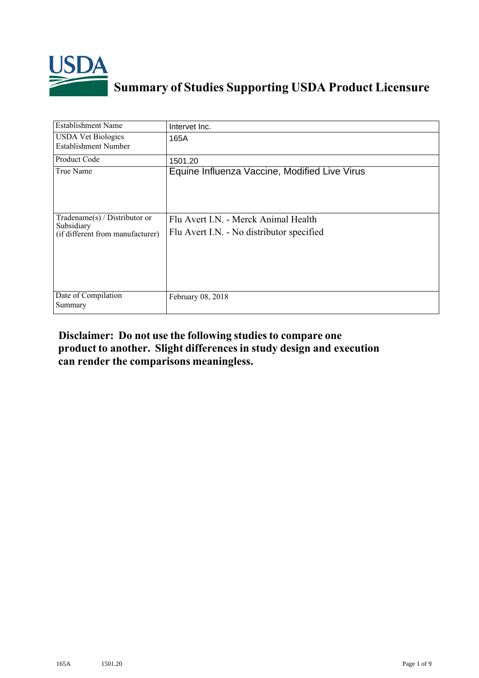

## **Summary of Studies Supporting USDA Product Licensure**

| <b>Establishment Name</b>                                                       | Intervet Inc.                                                                     |
|---------------------------------------------------------------------------------|-----------------------------------------------------------------------------------|
| <b>USDA Vet Biologics</b><br>Establishment Number                               | 165A                                                                              |
| <b>Product Code</b>                                                             | 1501.20                                                                           |
| True Name                                                                       | Equine Influenza Vaccine, Modified Live Virus                                     |
| Tradename(s) / Distributor or<br>Subsidiary<br>(if different from manufacturer) | Flu Avert I.N. - Merck Animal Health<br>Flu Avert I.N. - No distributor specified |
| Date of Compilation<br>Summary                                                  | February 08, 2018                                                                 |

## **Disclaimer: Do not use the following studiesto compare one product to another. Slight differencesin study design and execution can render the comparisons meaningless.**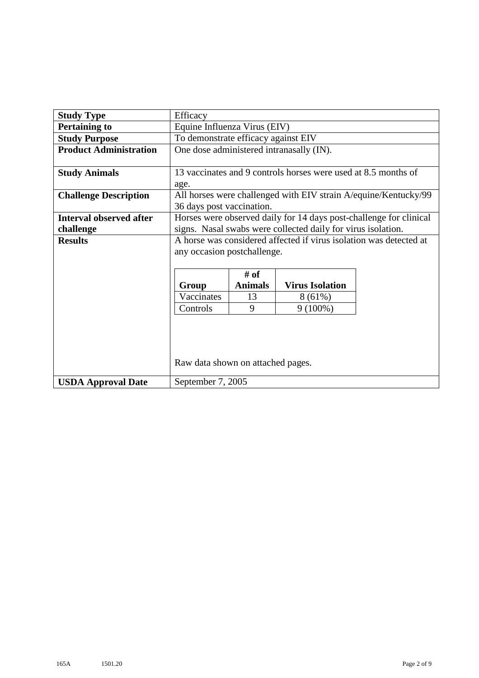| <b>Study Type</b>              | Efficacy                            |                |                                                                    |                                                                 |
|--------------------------------|-------------------------------------|----------------|--------------------------------------------------------------------|-----------------------------------------------------------------|
| <b>Pertaining to</b>           | Equine Influenza Virus (EIV)        |                |                                                                    |                                                                 |
| <b>Study Purpose</b>           | To demonstrate efficacy against EIV |                |                                                                    |                                                                 |
| <b>Product Administration</b>  |                                     |                | One dose administered intranasally (IN).                           |                                                                 |
|                                |                                     |                |                                                                    |                                                                 |
| <b>Study Animals</b>           |                                     |                | 13 vaccinates and 9 controls horses were used at 8.5 months of     |                                                                 |
|                                | age.                                |                |                                                                    |                                                                 |
| <b>Challenge Description</b>   |                                     |                |                                                                    | All horses were challenged with EIV strain A/equine/Kentucky/99 |
|                                | 36 days post vaccination.           |                |                                                                    |                                                                 |
| <b>Interval observed after</b> |                                     |                | Horses were observed daily for 14 days post-challenge for clinical |                                                                 |
| challenge                      |                                     |                | signs. Nasal swabs were collected daily for virus isolation.       |                                                                 |
| <b>Results</b>                 |                                     |                | A horse was considered affected if virus isolation was detected at |                                                                 |
|                                | any occasion postchallenge.         |                |                                                                    |                                                                 |
|                                |                                     |                |                                                                    |                                                                 |
|                                |                                     | # of           |                                                                    |                                                                 |
|                                | Group                               | <b>Animals</b> | <b>Virus Isolation</b>                                             |                                                                 |
|                                | Vaccinates                          | 13             | $8(61\%)$                                                          |                                                                 |
|                                | Controls                            | 9              | $9(100\%)$                                                         |                                                                 |
|                                |                                     |                |                                                                    |                                                                 |
|                                |                                     |                |                                                                    |                                                                 |
|                                |                                     |                |                                                                    |                                                                 |
|                                |                                     |                |                                                                    |                                                                 |
|                                | Raw data shown on attached pages.   |                |                                                                    |                                                                 |
| <b>USDA Approval Date</b>      | September 7, 2005                   |                |                                                                    |                                                                 |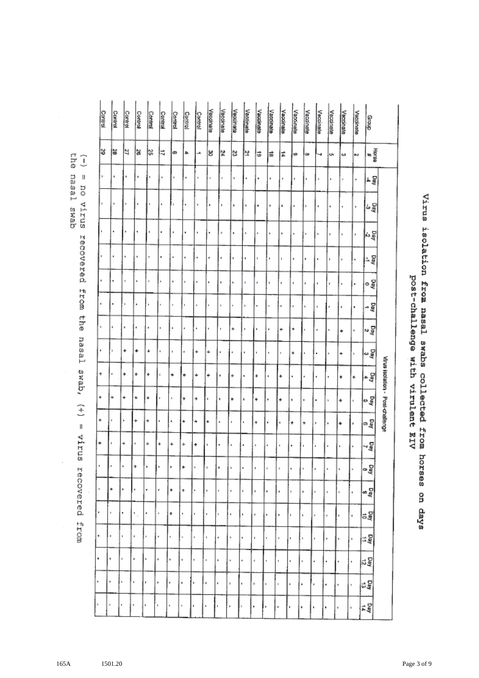|                      | Control      | Cantrol   | Control | Control | Control        | Control        | Control                   | Control      | Control        | Vaccinate | Veccinate    | Vaccinate      | Vaccinate   | Vaccinate | Vaccinate             | Vaccinate           | Vaccinate | Vaccinate | Vaccinate      | Vacalnate | Veccinate                           | Vaccinate           | droug          |                                  |
|----------------------|--------------|-----------|---------|---------|----------------|----------------|---------------------------|--------------|----------------|-----------|--------------|----------------|-------------|-----------|-----------------------|---------------------|-----------|-----------|----------------|-----------|-------------------------------------|---------------------|----------------|----------------------------------|
| en⊐<br>Ĵ             | 3            | 1g        | Þ       | ¦a      | ls.            | 4              | G)                        | ٠            | ∸              | ಜ         | 2¢           | S,             | Þ           | Ĝ,        | 늛                     | ∣≠                  | lω        | lœ        | 4              | c,        | ω                                   | M                   | Hora<br>Ma     |                                  |
| = no<br>nasai        | $\mathbf{1}$ | ٠         |         | ٠       |                | ٠              |                           | $\epsilon$   | ٠              |           |              | $\blacksquare$ | ٠           | ٠         | ٠                     |                     |           | ٠         | ٠              |           |                                     | ٠                   | 노물             |                                  |
| virus<br>qems        |              |           |         |         |                |                |                           |              | ×              | ٠         | ٠            | s.             | ١           |           | ٠                     | ٠                   | ٠         |           | ٠              | ł         |                                     | $\,$                | និគ្           |                                  |
|                      |              |           |         | ٠       |                | ٠              |                           |              |                |           |              | ٠              | ٠           | ٠         | ٠                     |                     | ٠         | ٠         | ٠              | s.        | $\scriptstyle\rm I\hspace{-1.2pt}I$ | ŧ                   | 물서             |                                  |
| recovered            |              | ٠         | ٠       | ×       |                |                | ŧ                         | ٠            | ٠              | ٠         |              |                | ٠           |           | k                     | ï                   | ٠         |           | ٠              | I.        |                                     | $\blacksquare$      | 7ã             |                                  |
|                      |              |           | ı,      | ٠       | $\eta$         |                | q,                        | p.           | ٠              | ×         | $\mathbf{I}$ | ٠              | ×.          | ł         | 1                     | ٠                   | s.        | ٠         | ,              |           |                                     | ٠                   | ogy<br>Qay     |                                  |
| from the             | ٠            | ٠         | ٠       | k       |                |                | $\bar{n}$                 | $\mathbf{r}$ | ٠              |           | ×            | ı.             |             |           |                       | ٠                   |           | h         | ٠              |           |                                     | ٠                   | - 물            |                                  |
|                      | $\eta$       | ۰         |         | đ       |                |                | ٠                         | ٠            | ×              |           | ł            | ۰              | ٠           |           | r                     | ٠                   | ۰         |           |                |           | ٠                                   | $\bar{\phantom{a}}$ | _<br>รูง<br>รู |                                  |
| nasal                | ٠            |           | 4       | ۰       | ÷.             | $\blacksquare$ | ï                         |              | $\ddot{}$      | ÷         | ٠            |                | ٠           |           |                       |                     | 4         |           |                |           | +                                   | $\blacksquare$      | ិ<br>ខិត្      |                                  |
| swab,                | ٠            | r         | ۰       | ٠       | ÷              |                | +                         | ۰            | ÷              | ۰         | ٠            | ÷              |             |           | $\blacksquare$        | ÷                   | ś         |           |                | ŧ         | ۰                                   | ¢.                  | Pay            | Virus isolation - Post-challenge |
|                      | ÷            | ۰         | 4       | ÷       | ۰              | ٠              | $\blacksquare$            | ۰            | ٠              |           | ۹            | +              | ı,          | ٠         | ı                     | ۰                   | ٠         | ٠         | ٠              | k         | ۰                                   |                     | a<br>Pa        |                                  |
| $(+) = \text{virus}$ | ٠            |           |         | ÷       | 4              | ٠              | ٠                         | 4            | 4              | ۰         | ٠            | r              | ٠           | ÷         | ٠                     | ٠                   | +         | +         | ŧ              | k,        | ۰                                   |                     | ۰ę             |                                  |
|                      | ÷            |           | ÷       |         |                |                | +                         | ۰            | ٠              |           |              | ŧ              |             | ٠         | ٠                     | ٠                   |           |           |                |           |                                     |                     | Day<br>∽       |                                  |
|                      | ٠            | ٠         | ٠       | ۰       | $\blacksquare$ | ŀ              | ٠                         | ٠            | $\blacksquare$ | $\,$      | ٠            | k              | 4           | ł         | $\scriptstyle\rm I$   | $\scriptstyle\rm I$ | ı         | ٠         | ,              | ٠         | ۹                                   | $\bar{\phantom{a}}$ | ఇక్ష్          |                                  |
| recovered            | ٠            | ۰         |         |         | ٠              | ٠              | ÷                         | ÷            | ٠              | ٠         | ٠            | ٠              | $\bar{\pi}$ | ł         | ٠                     | ٠                   | ń         | ٠         | ٦              | ٠         |                                     | $\mathbf{r}$        | Day            |                                  |
|                      | ٠            | ٠         |         | ٠       | ٠              | ×              | ٠                         | ٠            | ٠              | k         |              | ٠              | ٠           | š         | ٠                     | ٠                   | ٠         | ۰         | ٠              | ×.        |                                     | ł,                  | 음질             |                                  |
| from                 | ٠            | $\bullet$ | ı,      | ı       | $\blacksquare$ | ٠              |                           | $\bar{a}$    | ٠              | ï         | ٠            | 1              | ٠           | ٠         | ×                     | $\blacksquare$      | ٠         | $\,$      |                | ٠         |                                     |                     | Ξğ             |                                  |
|                      | ٠            | ٠         | ×       | ٠       | ×              | ٠              | ٠                         | ı.           | ×              | ٠         | ٠            | $\blacksquare$ | ï           | ń.        |                       | ٠                   | ٠         | ٠         |                | ٠         |                                     | ٠                   | 정              |                                  |
|                      | ٠            | ٠         | k       | ٠       | ٠              | ٠              | ٠                         | $\pmb{\ast}$ | r              | ٠         | ٠            | ń.             | ١           | ŧ         | $\scriptstyle\rm I\!$ | ×,                  | ٠         | k         | ۲              | ٠         | ٠                                   | $\mathbbm{1}$       | 딣              |                                  |
|                      | ٠            | ń         | ٠       | ٠       | ۰              | ٧              | $\boldsymbol{\mathsf{s}}$ | ×            | ٠              | ٠         | ı            | ¥              |             | ٠         | r                     | ı                   | ٠         | ۰         | $\blacksquare$ | ı         | ٠                                   | ï                   | 뤓              |                                  |

## Virus isolation from nasal swabs collected from horses on days<br>reference on the post-challenge with virulent EIV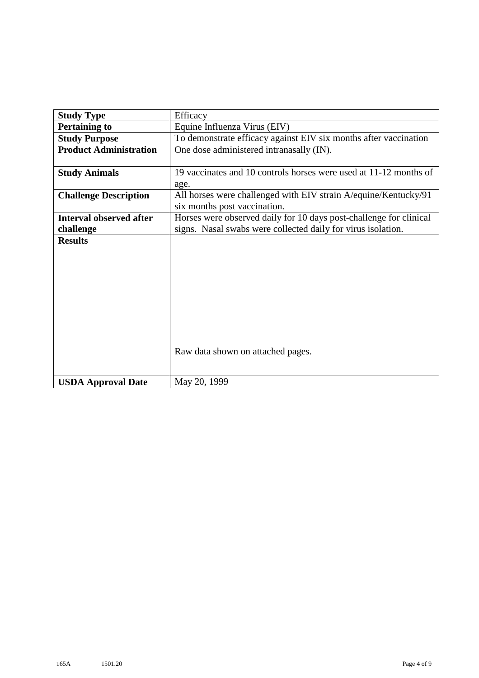| <b>Study Type</b>              | Efficacy                                                           |
|--------------------------------|--------------------------------------------------------------------|
| <b>Pertaining to</b>           | Equine Influenza Virus (EIV)                                       |
| <b>Study Purpose</b>           | To demonstrate efficacy against EIV six months after vaccination   |
| <b>Product Administration</b>  | One dose administered intranasally (IN).                           |
|                                |                                                                    |
| <b>Study Animals</b>           | 19 vaccinates and 10 controls horses were used at 11-12 months of  |
|                                | age.                                                               |
| <b>Challenge Description</b>   | All horses were challenged with EIV strain A/equine/Kentucky/91    |
|                                | six months post vaccination.                                       |
| <b>Interval observed after</b> | Horses were observed daily for 10 days post-challenge for clinical |
| challenge                      | signs. Nasal swabs were collected daily for virus isolation.       |
| <b>Results</b>                 |                                                                    |
|                                |                                                                    |
|                                |                                                                    |
|                                |                                                                    |
|                                |                                                                    |
|                                |                                                                    |
|                                |                                                                    |
|                                |                                                                    |
|                                |                                                                    |
|                                |                                                                    |
|                                | Raw data shown on attached pages.                                  |
|                                |                                                                    |
| <b>USDA Approval Date</b>      | May 20, 1999                                                       |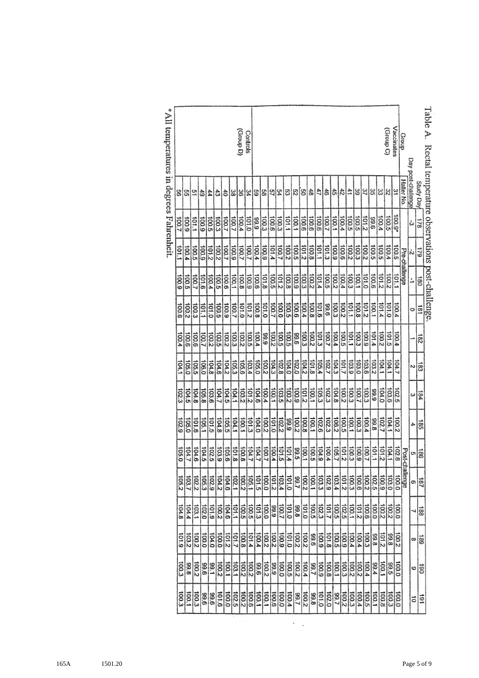| $l$ apie A. | Kectal tellipelature oosel vations post-charcuge. |        |                       |                       |                       |                     |                       |                       |                       |                     |                       |                     |                      |                     |                   |
|-------------|---------------------------------------------------|--------|-----------------------|-----------------------|-----------------------|---------------------|-----------------------|-----------------------|-----------------------|---------------------|-----------------------|---------------------|----------------------|---------------------|-------------------|
|             | <b>The a Apris</b>                                | 871    |                       | jao                   | ist                   | 182                 | 힒                     | 184                   | 385                   | 이흥                  | 187                   | 188                 | 681                  | ទី                  | $\overline{5}$    |
|             | Day post-challenge                                | ఉ      | 시크                    |                       | 0                     |                     |                       | ىئ                    |                       |                     | ø                     |                     | œ                    | ¢                   | ō                 |
| Group       | Halter No.                                        |        | Pre-challenge         |                       |                       |                     |                       |                       |                       | Post-challenge      |                       |                     |                      |                     |                   |
| Vaccinates  |                                                   | 100.9* |                       | 101.1                 | 100.4                 | 100.4               | 104.7                 | 102.5                 | 100.2                 | 102.6               | 100.0                 | 100.0               | $\frac{100.2}{99.8}$ | 0.001               | 100.0             |
| (Croup C)   | 외여                                                | 100.5  | $\frac{100.5}{100.4}$ | $\frac{100.2}{ }$     | 0.101                 | $\frac{101.5}{2}$   |                       | 103.6                 | 104.1                 | 104.1               | 103.0                 | 2.001               |                      | 99.5                | 100.3             |
|             | 띪                                                 | 100.4  | 100.5                 | 2.101                 | 101.4                 | 2001                | $\frac{104.1}{104.1}$ | 104.0                 | 102.7                 | 101.2               | $\frac{100.9}{102.5}$ | $rac{10000}{20000}$ | $\frac{1012}{99.8}$  | $\frac{1001}{2}$    | 100.8             |
|             |                                                   | 9.66   | 100.5                 | 100.6                 | 100.1                 | 101.4               | 103.2                 | 6'66                  | 866                   | 101.1               |                       |                     |                      | 766                 | 100.1             |
|             | 웨의                                                | 2.101  | 100.2                 | $\frac{1}{2}$         |                       | 100.9               | 103.6                 | 100.3                 | 100.4                 | 100.7               | 100.2                 | 100.6               | 100.3                | $\frac{1004}{4}$    | 100.5             |
|             | 39                                                | 100.5  | 100.3                 | $\frac{100.1}{2}$     | $\frac{101.2}{100.8}$ | 100.3               | 103.0                 | $\frac{100.7}{100.3}$ | $\frac{100.3}{100.1}$ | $rac{100}{600}$     | 100.6                 | $\frac{2}{5}$       | 5004                 | 100.2               | 100.4             |
|             |                                                   | 100.5  | 100.2                 | 100.3                 | 101.1                 | ior:                | 103.9                 |                       |                       |                     | 100.3                 | $\frac{1001}{1}$    | $\frac{1004}{4}$     | $rac{2}{3}$         | $\frac{100.3}{2}$ |
|             |                                                   | 100.4  | 100.6                 | 100.4                 | 2001                  | 100.5               | 101.7                 | 2001                  | 100.5                 | 101.2               | $\frac{101}{2}$       | 102.5               | 6'001                | 100.3               | 2.001             |
|             | 해하                                                | 100.1  | 100.9                 | $\frac{100.2}{2}$     |                       | $\frac{1001}{1001}$ | 104.3                 | 104.8                 | 106.2                 | 105.7               | 103.4                 | 5001                | <b>100.5</b>         | 100.1               | <b>Z</b> '66      |
|             | ਨੰ                                                | 100.7  | 101.3                 | 100.5                 | $\frac{100.3}{99.6}$  |                     | 102.7                 | 102.3                 | 102.3                 | 100.4               | $\frac{102.9}{10}$    | $rac{101}{2}$       | io1.8                | 100.8               | 102.0             |
|             | 47                                                | 9.001  | 101.1                 | 101.4                 | 9'101                 | 101.3               | 105.4                 | 105.3                 | 102.6                 | 6101                | 103.3                 |                     | 600                  | 6.001               | 0.101             |
|             | l ch                                              | 9.001  | 100.8                 |                       |                       | 100.2               | 101.8                 | 100.1                 | 100.1                 | 100.5               | 100.1                 | 100.5               | 99.6                 | 7.66                | 89.8              |
|             |                                                   | 00.6   | 101.2                 | $\frac{100.2}{100.3}$ | $rac{100.4}{100.4}$   | 100.3               | 104.2                 | $\frac{101.2}{2}$     | 100.8                 | $\frac{1001}{9955}$ | $\frac{100.2}{5.001}$ | $rac{66}{0.101}$    | 2001                 | 100.4               | 2.001             |
|             | ఐ[జ                                               | 100.1  | 100.5                 | 100.9                 | 00.6                  | 99.6                | 102.0                 | 6'001                 | 2001                  |                     |                       |                     | 2001                 | 100.2               | $\frac{1}{99.7}$  |
|             | င္ပြ                                              | 101.1  | 100.2                 |                       |                       |                     | 104.0                 | 2001                  | 6'66                  | 101.4               | 01.01                 | 0.101               | 0101                 | 100.5               | 100.4             |
|             |                                                   | 100.3  | 100.7                 | $rac{100}{101.2}$     | $rac{1005}{2000}$     | $rac{100}{200}$     | 102.8                 | $\frac{103.5}{2}$     | 102.2                 | $rac{2}{5}$         | $\frac{103.4}{101.2}$ | $rac{666}{2001}$    | 6'001                | 100.0               | 0.00              |
|             | 있죠                                                | 100.6  | 101.4                 | 100.5                 | 100.7                 | 100.2               | 104.3                 | 100.1                 | 0.101                 | 100.4               |                       |                     | $\frac{100}{2}$      | 6'66                | 100.6             |
|             | 띪                                                 | 100.3  | $\frac{100.9}{2}$     | $\frac{101.8}{10}$    | 101.0                 | 6'66                | 100.2                 | 100.4                 | 2001                  | 100.7               | 100.0                 | 100.0               | 100.2                | 2001                | 100.1             |
|             | 13                                                | 866    | 100.4                 | 100.6                 | 100.8                 | 100.4               | 0.501                 | $\frac{104.6}{2}$     | 104.0                 | 104.7               | $rac{1}{100.1}$       | $rac{100.5}{100}$   | $rac{1014}{1014}$    | 96.6                | 100.1             |
| Controls    |                                                   | 0.101  | 100.7                 | 100.9                 | 2.101                 | 100.5               | 103.4                 | $rac{101}{2}$         | 101.3                 |                     |                       |                     |                      | $\frac{100}{2}$     | $\frac{100.6}{2}$ |
| (G droug)   | 예비                                                | 100.4  | 100.7                 | 100.8                 | 101.0                 | 2001                | 105.6                 | 103.2                 | 1001                  | 1001                | 100.2                 | 100.5               | 100.8                | $\frac{100.2}{2}$   | 7.001             |
|             | 38                                                | 100.7  | 6001                  | 100.1                 | 100.7                 | 100.3               | $\frac{105.3}{104.2}$ | 104.1                 | 104.1                 | $rac{1018}{800}$    | 102.1                 | 101.1               | 101.7                | 103.1               | 102.5             |
|             | ਠੈ                                                | 100.7  | 100.7                 | 100.6                 | 100.9                 | 2.001               |                       | 104.5                 | 105.5                 |                     | 104.6                 | $\frac{104.6}{ }$   | $\frac{1}{2}$        | 100.1               | $\frac{100.0}{2}$ |
|             |                                                   | 100.3  | 100.2                 | 100.5                 | 100.5                 | 100.5               | 104.6                 | 104.7                 | 104.8                 | 103,9               | 104.2                 | 100.2               | 100.0                | 100.2               | 01.6              |
|             | $rac{44}{44}$                                     | 5001   | $rac{101}{2}$         | 100.4                 | $\frac{101.0}{10}$    | $\frac{100.7}{7}$   | 104.8                 | 103.6                 | 101.5                 | 102.5               | 102.9                 | 6101                | 104.0                | 1.66                | 966               |
|             | Ĝ                                                 | 6'001  | 600                   | 01.6                  | Ē                     |                     | $\frac{106.0}{ }$     | 105.8                 | $\frac{105.1}{2}$     | $rac{104.5}{10}$    | $\frac{105.3}{102.2}$ | $\frac{102.0}{20}$  | 100.0                | 99.6                | 96.6              |
|             |                                                   | 101.1  | 100.5                 | 100.7                 | 100.3                 | 00.6                | 105.5                 | 104.8                 | 9101                  | 104.6               |                       | $\frac{1}{2}$       | $rac{200}{2}$        | $\overline{2}$ [00] | 100.3             |
|             | 읽고                                                | 6001   | 100.4                 | 9001                  | 100.2                 | $\frac{6}{2}$       | 105.0                 | 104.5                 | 105.0                 | 1.44.7              | 103.7                 | 104.4               | 2.50                 | 89.8                | 100.1             |
|             | 8                                                 | 100.7  | 101.1                 | 6'001                 | 100.6                 | 100.4               | 104.1                 | 102.3                 | 102.9                 | 105.0               | 105.2                 | 104.8               | $rac{101}{6}$        | 100.3               | E 001             |

 $\sim$  .

Table A Rectal te rature observations post-challenge.

 $\ast$  All temperatures in degrees Fahrenheit.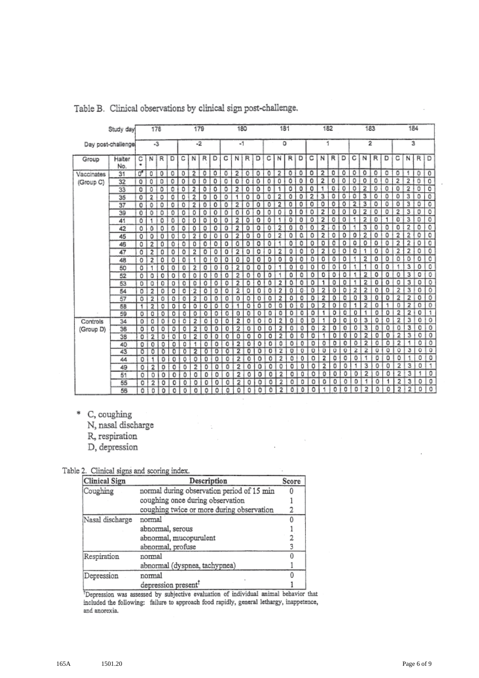|            | Study day          |        | 178            |         |   |   | 179            |   |   |   | 180            |   |   |   | 181            |           |   |   | 182            |   |   |   | 183                     |   |         |                | 184                     |   |                           |
|------------|--------------------|--------|----------------|---------|---|---|----------------|---|---|---|----------------|---|---|---|----------------|-----------|---|---|----------------|---|---|---|-------------------------|---|---------|----------------|-------------------------|---|---------------------------|
|            | Day post-challenge |        | -3             |         |   |   | -2             |   |   |   | $-1$           |   |   |   | ٥              |           |   |   | 1              |   |   |   | 2                       |   |         |                | з                       |   |                           |
| Group      | Halter<br>No.      | С<br>٠ | Ν              | R       | D | с | N              | R | D | с | N              | R | D | с | N              | R         | D | с | N              | R | D | с | N                       | R | D       | с              | N                       | R | Ð                         |
| Vaccinates | 31                 | a,     | 0              | o       | 0 | o | 2              | 0 | ٥ | ٥ | 2              | ٥ | ٥ | 0 | 2              | 0         | ٥ | ٥ | 2              | 0 | ٥ | ٥ | o                       | 0 | ٥       | 0              |                         | o | o                         |
| (Group C)  | 32                 | 0      | 0              | 0       | 0 | O | ٥              | 0 | o | 0 | ٥              | o | ٥ | Ō | 0              | 0         | 0 | ٥ | 2              | ٥ | ٥ | ٥ | o                       | o | ٥       | 2              | $\overline{2}$          | o | $\overline{\circ}$        |
|            | 33                 | o      | ٥              | ٥       | 0 | ٥ | 2              | ٥ | ٥ | ٥ | 2              | 0 | о | ٥ | 1              | ٥         | o | 0 | 1              | 0 | ٥ | ٥ | 2                       | ٥ | 0       | ٥              | 2                       | 0 | o                         |
|            | 35                 | о      | $\overline{2}$ | ٥       | ٥ | ٥ | 2              | 0 | ٥ | 0 |                | 0 | ٥ | ٥ | 2              | 0         | ٥ | 2 | з              | ٥ | ٥ | ٥ | з                       | ٥ | ٥       | 0              | 3 I                     | ٥ | $\overline{0}$            |
|            | 37                 | 0      | 0              | 0       | 0 | ٥ | 2              | 0 | ٥ | ٥ | 2              | 0 | 0 | 0 | $\overline{2}$ | o         | ٥ | ٥ | ٥              | 0 | o | 2 | 3                       | ٥ | 0       | ٥              | 3                       | o | $\overline{\mathfrak{o}}$ |
|            | 39                 | 0      | 0              | ٥       | Ō | ۵ | ٥              | o | ٥ | Ō | ٥              | 0 | 0 | 0 | 0              | ٥         | o | ٥ | 2              | 0 | 0 | 0 | $\overline{\mathbf{z}}$ | 0 | o       | 2              | з                       | 0 | ٥                         |
|            | 41                 | 0      |                | ٥       | o | ٥ | ٥              | o | o | 0 | 2              | ٥ | o | ٥ | 1              | ٥         | ٥ | ٥ | 2              | 0 | o | 1 | 2                       | ٥ | 1       | 0              | з                       | 0 | O                         |
|            | 42                 | ٥      | ٥              | ٥       | ٥ | ٥ | ٥              | ٥ | ٥ | 0 | 2              | o | ٥ | ٥ | 2              | ٥         | o | ٥ | 2              | ٥ | ٥ | 1 | 3                       | 0 | 0       | 0              | 2                       | ٥ | 0                         |
|            | 45                 | 0      | ٥              | o       | 0 | ٥ | 2              | o | 0 | 0 | $\overline{2}$ | 0 | o | ٥ | 2              | Ō         | ٥ | ٥ | 2              | 0 | n | ٥ | $\overline{c}$          | 0 | 0       | 2              | 2                       | ٥ | $\circ$                   |
|            | 46                 | ٥      | 2              | ٥       | 0 | ٥ | o              | 0 | 0 | o | ٥              | o | ٥ | 0 |                | ٥         | ٥ | ٥ | ٥              | o | o | ٥ | 0                       | 0 | 0       | $\overline{2}$ | 2                       | 0 | 0                         |
|            | 47                 | 0      | 2              | ٥       | 0 | ٥ | 2              | 0 | ٥ | o | 2              | o | o | 0 | 2              | ٥         | ٥ | 0 | 2              | 0 | ٥ | 0 | 1                       | 0 | ٥       | $\overline{2}$ | 2                       | 0 | ō                         |
|            | 48                 | o      | 2              | ٥       | 0 | ٥ | 1              | ٥ | 0 | 0 | o              | ٥ | o | 0 | 0              | ٥         | ٥ | ٥ | ٥              | ٥ | ٥ | 1 | 2                       | ٥ | 0       | 0              | 0                       | 0 | $\overline{\text{o}}$     |
|            | 50                 | o      | 1              | 0       | 0 | ٥ | 2              | 0 | 0 | ٥ | 2              | 0 | 0 | o | 1              | ٥         | 0 | 0 | ٥              | ٥ | ٥ | 1 | 1                       | o | 0       | ۰              | 3                       | о | o                         |
|            | 52                 | 0      | 0              | 0       | 0 | ٥ | ٥              | ٥ | ٥ | ٥ | 2              | ٥ | 0 | 0 |                | ٥         | ٥ | ٥ | ٥              | ٥ | ٥ |   | 2                       | ٥ | 0       | ٥              | $\overline{\mathbf{3}}$ | 0 | ö                         |
|            | 53                 | 0      | 0              | 0       | o | o | 0              | 0 | 0 | 0 | 2              | 0 | 0 | ٥ | 2              | ō         | ٥ | ٥ | 1              | ٥ | ٥ |   | 2                       | 0 | 0       | ٥              | 3                       | 0 | $\overline{\circ}$        |
|            | 54                 | o      | 2              | 0       | ٥ | ٥ | 2              | ٥ | 0 | 0 | 2              | o | 0 | ٥ | 2              | n         | o | 0 | 2              | ٥ | 0 | 2 | 2                       | 0 | 0       | 2              | 3                       | 0 | 0                         |
|            | 57                 | 0      | 2              | 0       | o | 0 | 2              | 0 | 0 | ٥ | 0              | ٥ | 0 | ٥ | $\overline{2}$ | ō         | o | ٥ | 2              | ٥ | ٥ | ٥ | з                       | 0 | o       | 2              | 2                       | ٥ | $\overline{\circ}$        |
|            | 58                 | 1      | 2              | ٥       | ٥ | ٥ | ٥              | o | o | o | 1              | ۰ | o | ٥ | ٥              | o         | 0 | ٥ | 2              | o | o |   | 2                       | ٥ | 1       | Ð              | $\overline{2}$          | o | 0                         |
|            | 59                 | 0      | o              | $\circ$ | ٥ | ٥ | ٥              | 0 | о | ٥ | 0              | ٥ | 0 | 0 | ٥              | $\circ$ 1 | ٥ | ٥ |                | ٥ | ٥ | 0 | ٠                       | 0 | o       | 2              | $\overline{2}$          | 0 | Ŧ                         |
| Controls   | 34                 | 0      | ٥              | ٥       | ٥ | ٥ | 2              | 0 | 0 | ٥ | 2              | 0 | o | ٥ | 2              | o         | 0 | o | ۹              | ٥ | ٥ | 0 | 3                       | 0 | 0       | 2              | з                       | ٥ | o                         |
| (Group D)  | 36                 | o      | 0              | 0       | 0 | 0 | $\overline{2}$ | ٥ | 0 | o | 2              | o | 0 | 0 | 2              | 0         | 0 | o | 2              | ٥ | o | 0 | з                       | 0 | ٥       | 0              | 3                       | 0 | $\overline{0}$            |
|            | 38                 | 0      | 2              | o       | ٥ | 0 | 2              | 0 | 0 | 0 | ٥              | o | 0 | ٥ | 2              | ٥         | 0 | ٥ | 1              | o | 0 | ٥ | $\overline{2}$          | 0 | $\circ$ | 2              | 3                       | ٥ | 0                         |
|            | 40                 | o      | 0              | 0       | ٥ | o | 1              | ٥ | 0 | 0 | 2              | 0 | ٥ | 0 | ٥              | ٥         | 0 | 0 | o              | ٥ | 0 | 0 | $\overline{\mathbf{z}}$ | 0 | ٥       | 2              | 1                       | 0 | o                         |
|            | 43                 | o      | Ō              | ъ       | o | o | 2              | o | o | 0 | 2              | o | ō | o | $\overline{z}$ | o         | o | o | $\Omega$       | 0 | 0 | 2 | 2                       | 0 | o       | o              | з                       | o | $\mathbb O$               |
|            | 44                 | 0      | 1              | ٥       | ٥ | ٥ | ٥              | o | 0 | 0 | 2              | ٥ | о | 0 | 2              | 0         | 0 | ٥ | 2              | ٥ | ٥ | ٥ | 1                       | ٥ | ٥       | 0              | 1                       | 0 | $\circ$                   |
|            | 49                 | ٥      | 2              | 0       | ٥ | ٥ | 2              | O | ٥ | ٥ | 2              | ٥ | o | ٥ | ٥              | o         | o | ٥ | $\overline{2}$ | ٥ | 0 | 1 | з                       | 0 | 0       | 2              | 3                       | 0 | $\overline{1}$            |
|            | 51                 | 0      | 0              | 0       | o | 0 | 0              | 0 | ٥ | ٥ | 2              | ٥ | o | 0 | 2              | ٥         | ٥ | ٥ | ٥              | ٥ | 0 | o | 2                       | 0 | ٥       | 2              | 3                       | 1 | o                         |
|            | 55                 | о      | 2              | o       | 0 | 0 | ٥              | ٥ | ٥ | ٥ | 2              | ٥ | 0 | 0 | 2              | 0         | ٥ | o | ٥              | o | ٥ | o | 1                       | ٥ |         | $\overline{2}$ | 3                       | 0 | 0                         |
|            | 56                 | ٥      | o              | ٥       | o | 0 | 0              | 0 | ٥ | ٥ | ٥              | ٥ | 0 | ٥ | 2              | 0         | ٥ | ٥ |                | ٥ | ō | ٥ | 2                       | 0 | ٥       | 2              | 2                       | 0 | O                         |

Table B. Clinical observations by clinical sign post-challenge.

\* C, coughing

N, nasal discharge

R, respiration

D, depression

Table 2. Clinical signs and scoring index.

| Clinical Sign   | Description                                | Score |
|-----------------|--------------------------------------------|-------|
| Coughing        | normal during observation period of 15 min |       |
|                 | coughing once during observation           |       |
|                 | coughing twice or more during observation  |       |
| Nasal discharge | normal                                     |       |
|                 | abnormal, serous                           |       |
|                 | abnormal, mucopurulent                     |       |
|                 | abnormal, profuse                          |       |
| Respiration     | normal                                     |       |
|                 | abnormal (dyspnea, tachypnea)              |       |
| Depression      | normal                                     |       |
|                 | depression present <sup>1</sup>            |       |

<sup>†</sup>Depression was assessed by subjective evaluation of individual animal behavior that included the following: failure to approach food rapidly, general lethargy, inappetence, and anorexia.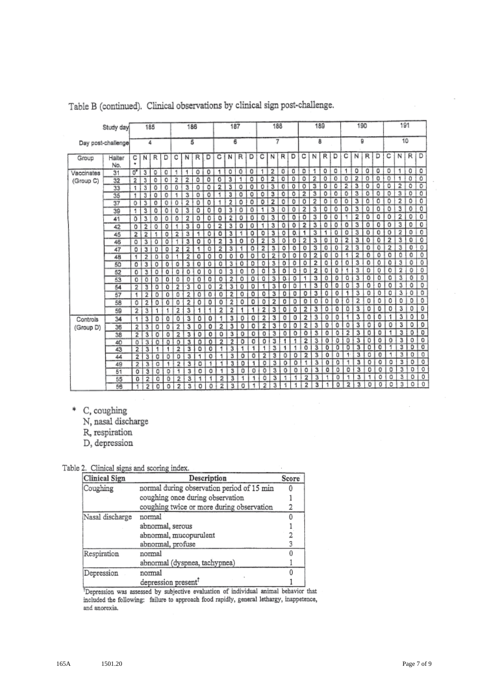|            | Study day          |                         | 185 |   |   |                | 186 |   |   |    | 187            |   |   |   | 188            |    |    |                         | 189 |   |   |   | 190 |   |   |                | 191            |         |                           |
|------------|--------------------|-------------------------|-----|---|---|----------------|-----|---|---|----|----------------|---|---|---|----------------|----|----|-------------------------|-----|---|---|---|-----|---|---|----------------|----------------|---------|---------------------------|
|            | Day post-challenge |                         | 4   |   |   |                | 5   |   |   |    | 6              |   |   |   | 7              |    |    |                         | 8   |   |   |   | ö,  |   |   |                | 10             |         |                           |
| Group      | Halter<br>No.      | с<br>٠                  | ΝI  | R | D | с              | Ν   | R | D | с  | N              | R | D | с | N              | R  | D  | с                       | N   | R | D | с | N   | R | D | с              | И              | R       | D                         |
| Vaccinates | 31                 | 0,                      | 3   | ٥ | a | 1              | 1   | 0 | 0 | 1  | 0              | ٥ | 0 | 1 | 2              | o  | o  | o                       | 1   | ٥ | ٥ | 1 | ٥   | o | ٥ | ٥              | 1              | o       | ٥                         |
| (Group C)  | 32                 | $\overline{2}$          | 3   | ٥ | ٥ | 2              | 2   | ٥ | 0 | ٥  | 3              | 1 | ٥ | ٥ | 2              | 0  | ٥  | o                       | 2   | 0 | 0 | 0 | 2   | 0 | 0 | $\circ$        | 1              | 0       | 0                         |
|            | 33                 | $\mathbf{1}$            | 3   | 0 | 0 | 0              | 3   | ٥ | ٥ | 2  | 3              | ٥ | o | ٥ | 3              | 0  | ٥  | о                       | 3   | ٥ | ٥ | 2 | 3   | ٥ | ٥ | ٥              | 2              | ٥       | ō                         |
|            | 35                 | 1                       | 3   | ٥ | o | 1              | 3   | o | o | 1  | 3              | o | ٥ | ٥ | 3              | 0  | ٥  | 2                       | 3   | ٥ | ٥ | ٥ | з   | o | 0 | O              | 3              | o       | $\overline{\mathfrak{o}}$ |
|            | 37                 | 0                       | 3   | o | 0 | ٥              | 2   | 0 | ٥ | 1  | 2              | o | o | ٥ | 2              | ٥  | ٥  | ٥                       | 2   | 0 | ٥ | 0 | 3   | ٥ | 0 | 0              | 2              | 0       | 0                         |
|            | 39                 | 1                       | 3   | ٥ | 0 | ٥              | 3   | ٥ | 0 | 0  | 3              | 0 | o | 1 | 3              | 0  | ٥  | 2                       | 3   | ٥ | 0 | 0 | 3   | 0 | 0 | 0              | з              | 0       | $\overline{0}$            |
|            | 41                 | ٥                       | 3   | ٥ | 0 | ٥              | 2   | ٥ | ٥ | ٥  | 2              | ٥ | ٥ | 0 | 3              | 0  | 0  | ٥                       | 3   | 0 | ٥ |   | 2   | 0 | ٥ | 0              | 2              | 0       | 0                         |
|            | 42                 | o                       | 2   | 0 | O | ۰              | 3   | ٥ | ٥ | 2  | 3              | 0 | ٥ | 1 | 3              | ٥  | 0  | $\overline{\mathbf{z}}$ | 3   | ٥ | 0 | ٥ | 3   | ٥ | 0 | о              | з.             | 0       | o                         |
|            | 45                 | 2                       | 2   | ۹ | 0 | 2              | 3   | 1 | ٥ | 0  | 3              | 1 | ٥ | o | 3              | o  | 0. | 1                       | з   | 1 | o | ٥ | з   | o | o | o              | 2              | $\circ$ | 0                         |
|            | 46                 | 0                       | 3   | o | ٥ |                | 3   | ٥ | 0 | 2  | 3              | 0 | о | 2 | 3              | ٥  | o  | 2                       | 3   | 0 | o | 2 | з   | 0 | 0 | $\overline{2}$ | 3              | o       | 0                         |
|            | 47                 | ٥                       | 3   | O | 0 | 2              | 2   | ۹ | ٥ | 2  | 3              | 1 | ٥ | 2 | 3              | ٥  | ٥  | 0                       | 3   | ٥ | o | 2 | з   | o | 0 | $\overline{2}$ | 3              | o       | 0                         |
|            | 48                 | 1                       | 2   | ٥ | 0 |                | 2   | ٥ | o | 0  | ٥              | ٥ | o | 0 | $\overline{2}$ | 0  | 0  | 0                       | 2   | ٥ | ō | 1 | 2   | 0 | 0 | 0              | O              | o       | $\overline{0}$            |
|            | 50                 | ٥                       | з   | 0 | 0 | ٥              | 3   | 0 | ٥ | ٥  | 3              | 0 | ٥ | o | 3              | ٥  | 0  | 0                       | 2   | ٥ | ٥ | 0 | 3   | ٥ | ٥ | o              | з              | ٥       | o                         |
|            | 52                 | o                       | 31  | 0 | 0 | 0              | 0   | ٥ | 0 | ٥  | 3              | 0 | ٥ | ٥ | 3              | ٥  | O  | ٥                       | 2   | 0 | ٥ |   | 3   | ٥ | 0 | 0              | 2              | 0       | 0                         |
|            | 53                 | 0                       | 0   | ٥ | o | 0              | 0   | 0 | 0 | ٥  | 2              | o | o | 0 | 3              | O. | 0  | ۹                       | з   | O | ٥ | 0 | 3   | 0 | 0 | 0              | 3              | 0       | ö                         |
|            | 54                 | 2                       | 3   | ٥ | o | $\overline{2}$ | 3   | 0 | 0 | 2  | 3:             | 0 | 0 | 1 | 3              | ٥  | Ď  | 1                       | 3   | 0 | ٥ | ٥ | 3   | ٥ | ٥ | 0              | 3              | ٥       | $\overline{\mathbf{Q}}$   |
|            | 57                 | 1                       | 2   | 0 | 0 | ٥              | 2   | ٥ | ٥ | 0  | 2              | 0 | 0 | 0 | з              | o  | o  | 0                       | 3   | O | o | 1 | 3   | o | 0 | 0              | 3              | o       | 0                         |
|            | 58                 | 0                       | 2   | ٥ | 0 | ٥              | 2   | ٥ | 0 | ō  | 2              | ٥ | o | ٥ | 2              | o  | 0  | 0                       | 0   | O | ٥ | ٥ | 2   | 0 | 0 | ٥              | 0              | ٥       | 0                         |
|            | 59                 | 2                       | 3   | 1 |   | 2              | 3   | 1 | 1 | 2  | 2              | 1 | 1 | 2 | 3              | ٥  | ٥  | 2                       | 3   | ٥ | 0 | ٥ | 3   | 0 | 0 | o              | 3              | 0       | 0                         |
| Controls   | 34                 | 1                       | 3   | ٥ | Ō | Ō              | 3   | ٥ | 0 |    | 3              | 0 | ٥ | 2 | 3              | 0  | 0  | 2                       | 3   | 0 | ٥ | 1 | 3   | ٥ | 0 | 1              | 3              | ٥       | $\mathfrak o$             |
| (Group D)  | 36                 | 2                       | 3   | ٥ | ō | $\overline{2}$ | 3   | ٥ | ٥ | 2  | 3              | ٥ | ٥ | 2 | з              | ٥  | ٥  | 2                       | 3   | ٥ | ٥ | ٥ | 3   | ٥ | 0 | 0              | 3              | ٥       | 0                         |
|            | 38                 | $\overline{\mathbf{z}}$ | 3   | ٥ | ٥ | 2              | 3   | ٥ | ٥ | o  | з              | 0 | 0 | ۵ | 3              | ٥  | o  | ٥                       | 3   | ٥ | ٥ | 2 | 3   | ٥ | o | 1              | 3              | 0       | $\overline{0}$            |
|            | 40                 | o                       | 3   | o | ٥ | o              | 3   | ۵ | 0 | 2  | $\overline{2}$ | 0 | O | ٥ | з              | 1  | 1  | 2                       | 3   | Ö | ٥ | 0 | 3   | 0 | 0 | 0              | 3              | 0       | 0                         |
|            | 43                 | $\overline{a}$          | 3   | 1 | 1 | 2              | з   | ٥ | o | 1. | 3              |   | 1 |   | 3              |    |    | Ō                       | 3   | o | o | o | 3   | o | o | 1              | $\overline{3}$ | o       | ō                         |
|            | 44                 | $\overline{2}$          | з   | o | ٥ | o              | 3   | 1 | ٥ | 1  | 3              | ۰ | ٥ | 2 | 3              | ٥  | o  | 2                       | 3   | ٥ | Ō | ۰ | з   | 0 | 0 | 1              | 3              | 0       | 0                         |
|            | 49                 | $\overline{2}$          | 3   | o | 1 | 2              | 3   | ٥ | ٠ | ٩  | 3              | o | 1 | 0 | 3              | 0  | ٥  | 1                       | 3   | ō | o | 1 | 3   | ٥ | 0 | o              | 3              | o       | 0                         |
|            | 51                 | 0                       | з   | 0 | 0 | 1              | 3   | o | 0 | 1  | з              | o | o | 0 | з              | 0  | 0  | ٥                       | 3   | ٥ | ٥ | 0 | 3   | o | 0 | 0              | 3              | o       | $\circ$                   |
|            | 55                 | 0                       | 2   | o | 0 | 2              | 3   | 1 | 1 | 2  | 3              | 1 | 1 | ٥ | 3              | ۹  | ٠  | 2                       | 3   |   | 0 | ۰ | 3   | 1 | ٥ | ٥              | 3              | O       | 0                         |
|            | 56                 | 1                       | 2   | 0 | o | 2              | 3   | o | ٥ | 2  | з              | 0 | 1 | 2 | 3              | 1  | 1  | 2                       | з   |   | ٥ | 2 | 3   | 0 | o | ٥              | 3              | 0       | $\Omega$                  |

Table B (continued). Clinical observations by clinical sign post-challenge.

\* C, coughing

N, nasal discharge

R, respiration

D, depression

## Table 2. Clinical signs and scoring index.

| Clinical Sign   | Description                                | Score |
|-----------------|--------------------------------------------|-------|
| Coughing        | normal during observation period of 15 min |       |
|                 | coughing once during observation           |       |
|                 | coughing twice or more during observation  |       |
| Nasal discharge | normal                                     |       |
|                 | abnormal, serous                           |       |
|                 | abnormal, mucopurulent                     |       |
|                 | abnormal, profuse                          |       |
| Respiration     | normal                                     |       |
|                 | abnormal (dyspnea, tachypnea)              |       |
| Depression      | normal                                     |       |
|                 | depression present <sup>?</sup>            |       |

<sup>†</sup>Depression was assessed by subjective evaluation of individual animal behavior that included the following: failure to approach food rapidly, general lethargy, inappetence, and anorexia.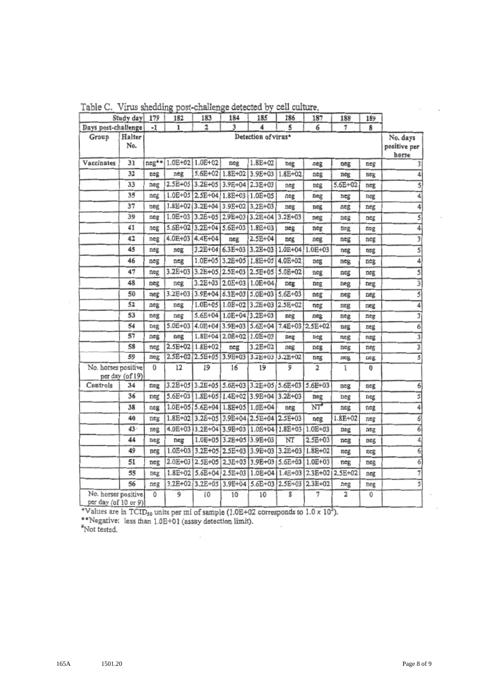|                                             | Study day       | 179     | 182             | 183                             | 184                     | 185                                             | 186             | 187            | 188             | 189 |                                   |
|---------------------------------------------|-----------------|---------|-----------------|---------------------------------|-------------------------|-------------------------------------------------|-----------------|----------------|-----------------|-----|-----------------------------------|
| Days post-challenge                         |                 | -1      | 1               | 2                               | 3                       | 4                                               | 5               | 6              | 7               | 8   |                                   |
| Group                                       | Halter<br>No.   |         |                 |                                 |                         | Detection of virus*                             |                 |                |                 |     | No. days<br>positive per<br>horse |
| Vaccinates                                  | 31              | $neg**$ | 1.0E+02 1.0E+02 |                                 | neg                     | $1.8E + 02$                                     | neg             | neg            | neg             | neg | 3                                 |
|                                             | 32              | neg     | neg             | 5.6E+02 1.8E+02                 |                         | 3.9E+03 1.8E+02                                 |                 | neg            | neg             | neg | 4                                 |
|                                             | 33              | neg     | 2.5E+05 3.2E+05 |                                 | 3.9E+04 2.3E+03         |                                                 | neg             | neg            | 5.6E+02         | neg | 5                                 |
|                                             | 35              | neg     | 1.0E+05 2.5E+04 |                                 |                         | 1.8E+03 1.0E+05                                 | neg             | neg            | neg             | neg | 4                                 |
|                                             | 37              | neg     | 1.8E+02         | $3.2E + 04$                     | 3.9E+02 3.2E+03         |                                                 | neg             | neg            | neg             | neg | 4                                 |
|                                             | 39              | neg     |                 |                                 |                         | I.0E+03 3.2E+05 2.9E+03 3.2E+04 3.2E+03         |                 | neg            | neg             | neg | 5                                 |
|                                             | 41              | neg     |                 | 5.6E+02 3.2E+04 5.6E+03 1.8E+03 |                         |                                                 | neg             | neg            | neg             | neg | 4                                 |
|                                             | 42              | neg     | 4.0E+03         | $4.4E + 04$                     | neg                     | $2.5E + 04$                                     | neg             | neg            | neg             | neg | 3                                 |
|                                             | 45              | neg     | neg             | 3.2E+04                         | 6.3E+03 3.2E+03         |                                                 | 1.0E+04         | 1.0E+03        | neg             | neg | 5                                 |
|                                             | 46              | neg     | neg             | $1.0E + 0.5$                    | $3.2E + 05$             | $1.8E + 05$                                     | 4.0E+02         | neg            | neg             | neg | 4                                 |
|                                             | 47              | neg     | 3.2E+03         | 3.2E+05 2.5E+03                 |                         | 2.5E+05 5.0E+02                                 |                 | neg            | neg             | neg | 5                                 |
|                                             | 48              | neg     | neg             | $3.2E + 03$                     | $2.0E + 03$             | 1.0E+04                                         | neg             | neg            | neg             | neg | 3                                 |
|                                             | 50              | neg     | 3.2E+03         | 3.9E+04                         | $6.3E + 03$             | $5.0E + 03$                                     | $5.6E + 03$     | neg            | neg             | neg | $\overline{5}$                    |
|                                             | 52              | neg     | neg             |                                 |                         | 1.0E+05   1.0E+02   3.2E+03   2.5E+02           |                 | neg            | neg             | neg | 4                                 |
|                                             | 53              | neg     | neg             | 5.6E+04                         | 1.0E+04 3.2E+03         |                                                 | neg             | neg            | neg             | neg | $\overline{3}$                    |
|                                             | 54              | neg     | $5.0E + 03$     | $4.0E+04$ 3.9E+03               |                         | $5.6E + 04$                                     | 7.4E+03 2.5E+02 |                | neg             | neg | $\overline{6}$                    |
|                                             | 57              | neg     | neg             |                                 | 1.8E+04 2.0E+02 1.0E+03 |                                                 | neg             | neg            | neg             | neg |                                   |
|                                             | 58              | neg     |                 | 2.5E+02 1.8E+02                 | neg                     | 3.2E+02                                         | neg             | neg            | neg             | neg | 3                                 |
|                                             | 59              | neg     |                 | 2.5E+02 2.5E+05 3.9E+03         |                         | 3.2E+03 3.2E+02                                 |                 | neg            | neg             | neg | $\overline{s}$                    |
| No. horses positive                         | per day (of 19) | 0       | 12              | 19                              | 16                      | 19                                              | 9               | $\overline{2}$ | 1               | 0   |                                   |
| Controls                                    | 34              | neg     |                 |                                 |                         | 3.2E+05 3.2E+05 5.6E+03 3.2E+05 5.6E+03 5.6E+03 |                 |                | neg             | neg | $\overline{6}$                    |
|                                             | 36              | neg     |                 | 5.6E+03 1.8E+05 1.4E+02         |                         | 3.9E+04 3.2E+03                                 |                 | neg            | neg             | neg | 3                                 |
|                                             | 38              | neg     |                 |                                 |                         | 1.0E+05 5.6E+04 1.8E+05 1.0E+04                 | neg             | $NT^{\bullet}$ | neg             | neg | 4                                 |
|                                             | 40              | neg     |                 |                                 |                         | 1.8E+02 3.2E+05 3.9E+04 2.5E+04 2.5E+03         |                 | neg            | $1.8E + 02$     | neg | 6                                 |
|                                             | 43.             | neg     |                 |                                 |                         | 4.0E+03 3.2E+04 3.9E+03 1.0E+04 1.8E+03         |                 | 1.0E+03        | neg             | neg | 6                                 |
|                                             | 44              | neg     | neg             |                                 |                         | 1.0E+05 3.2E+05 3.9E+03                         | NT              | $2.5E + 03$    | neg             | neg | 4                                 |
|                                             | 49              | neg     |                 |                                 |                         | 1.0E+03 3.2E+05 2.5E+03 3.9E+03 3.2E+03         |                 | $1.8E + 02$    | neg             | neg | 6                                 |
|                                             | 51              | neg     |                 | 2.0E+03 2.5E+05 2.3E+03         |                         | 3.9E+03 5.6E+03                                 |                 | $1.0E + 03$    | neg             | neg | $\overline{6}$                    |
|                                             | 55              | neg     |                 |                                 |                         | 1.8E+02 5.6E+04 2.5E+03 1.0E+04 1.4E+03         |                 |                | 2.3E+02 2.5E+02 | neg | $\overline{7}$                    |
|                                             | 56              | neg     |                 |                                 |                         | 3.2E+02 3.2E+05 3.9E+04 5.6E+03 2.5E+03 2.3E+02 |                 |                | neg             | neg | 3                                 |
| No. horses positive<br>per day (of 10 or 9) |                 | 0       | 9               | 10                              | 10                      | 10                                              | 8               | 7              | 2               | 0   |                                   |

Table C. Virus shedding post-challenge detected by cell culture.

\*Values are in TCID<sub>50</sub> units per ml of sample (1.0E+02 corresponds to  $1.0 \times 10^2$ ).<br>\*\*Negative: less than 1.0E+01 (assay detection limit).<br>\*Not tested.